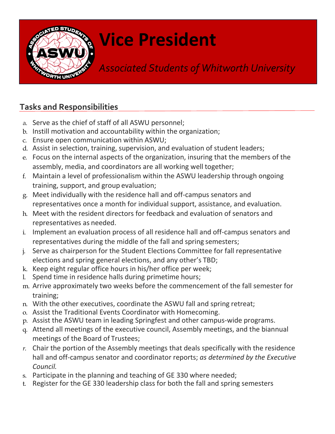

## **Vice President**

*Associated Students of Whitworth University*

## **Tasks and Responsibilities**

- a. Serve as the chief of staff of all ASWU personnel;
- b. Instill motivation and accountability within the organization;
- c. Ensure open communication within ASWU;
- d. Assist in selection, training, supervision, and evaluation of student leaders;
- e. Focus on the internal aspects of the organization, insuring that the members of the assembly, media, and coordinators are all working well together;
- f. Maintain a level of professionalism within the ASWU leadership through ongoing training, support, and group evaluation;
- g. Meet individually with the residence hall and off-campus senators and representatives once a month for individual support, assistance, and evaluation.
- h. Meet with the resident directors for feedback and evaluation of senators and representatives as needed.
- i. Implement an evaluation process of all residence hall and off-campus senators and representatives during the middle of the fall and spring semesters;
- Serve as chairperson for the Student Elections Committee for fall representative elections and spring general elections, and any other's TBD;
- k. Keep eight regular office hours in his/her office per week;
- l. Spend time in residence halls during primetime hours;
- m. Arrive approximately two weeks before the commencement of the fall semester for training;
- n. With the other executives, coordinate the ASWU fall and spring retreat;
- o. Assist the Traditional Events Coordinator with Homecoming.
- p. Assist the ASWU team in leading Springfest and other campus-wide programs.
- q. Attend all meetings of the executive council, Assembly meetings, and the biannual meetings of the Board of Trustees;
- *r.* Chair the portion of the Assembly meetings that deals specifically with the residence hall and off-campus senator and coordinator reports; *as determined by the Executive Council.*
- s. Participate in the planning and teaching of GE 330 where needed;
- t. Register for the GE 330 leadership class for both the fall and spring semesters